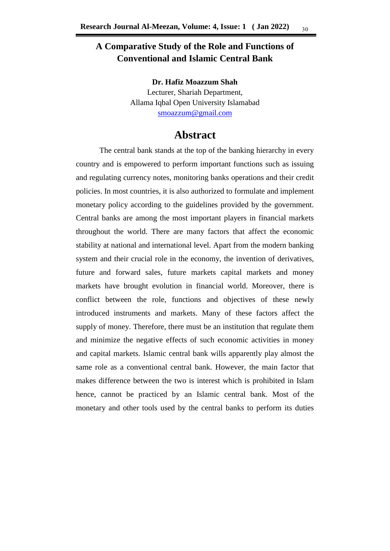# **A Comparative Study of the Role and Functions of Conventional and Islamic Central Bank**

**Dr. Hafiz Moazzum Shah** Lecturer, Shariah Department, Allama Iqbal Open University Islamabad [smoazzum@gmail.com](mailto:smoazzum@gmail.com)

# **Abstract**

The central bank stands at the top of the banking hierarchy in every country and is empowered to perform important functions such as issuing and regulating currency notes, monitoring banks operations and their credit policies. In most countries, it is also authorized to formulate and implement monetary policy according to the guidelines provided by the government. Central banks are among the most important players in financial markets throughout the world. There are many factors that affect the economic stability at national and international level. Apart from the modern banking system and their crucial role in the economy, the invention of derivatives, future and forward sales, future markets capital markets and money markets have brought evolution in financial world. Moreover, there is conflict between the role, functions and objectives of these newly introduced instruments and markets. Many of these factors affect the supply of money. Therefore, there must be an institution that regulate them and minimize the negative effects of such economic activities in money and capital markets. Islamic central bank wills apparently play almost the same role as a conventional central bank. However, the main factor that makes difference between the two is interest which is prohibited in Islam hence, cannot be practiced by an Islamic central bank. Most of the monetary and other tools used by the central banks to perform its duties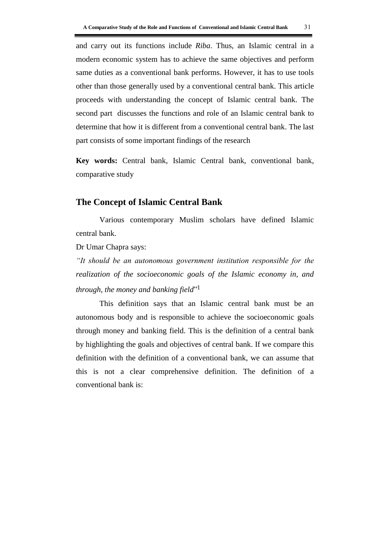and carry out its functions include *Riba*. Thus, an Islamic central in a modern economic system has to achieve the same objectives and perform same duties as a conventional bank performs. However, it has to use tools other than those generally used by a conventional central bank. This article proceeds with understanding the concept of Islamic central bank. The second part discusses the functions and role of an Islamic central bank to determine that how it is different from a conventional central bank. The last part consists of some important findings of the research

**Key words:** Central bank, Islamic Central bank, conventional bank, comparative study

### **The Concept of Islamic Central Bank**

Various contemporary Muslim scholars have defined Islamic central bank.

Dr Umar Chapra says:

*"It should be an autonomous government institution responsible for the realization of the socioeconomic goals of the Islamic economy in, and through, the money and banking field*" 1

This definition says that an Islamic central bank must be an autonomous body and is responsible to achieve the socioeconomic goals through money and banking field. This is the definition of a central bank by highlighting the goals and objectives of central bank. If we compare this definition with the definition of a conventional bank, we can assume that this is not a clear comprehensive definition. The definition of a conventional bank is: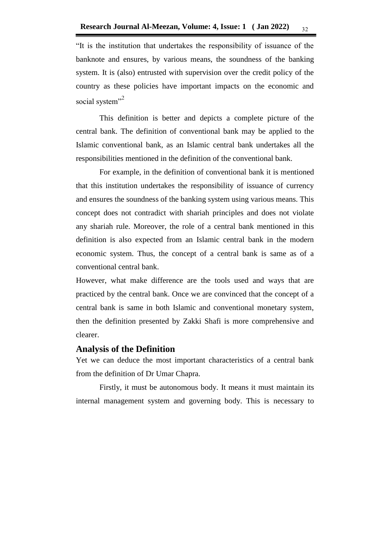"It is the institution that undertakes the responsibility of issuance of the banknote and ensures, by various means, the soundness of the banking system. It is (also) entrusted with supervision over the credit policy of the country as these policies have important impacts on the economic and social system"<sup>2</sup>

This definition is better and depicts a complete picture of the central bank. The definition of conventional bank may be applied to the Islamic conventional bank, as an Islamic central bank undertakes all the responsibilities mentioned in the definition of the conventional bank.

For example, in the definition of conventional bank it is mentioned that this institution undertakes the responsibility of issuance of currency and ensures the soundness of the banking system using various means. This concept does not contradict with shariah principles and does not violate any shariah rule. Moreover, the role of a central bank mentioned in this definition is also expected from an Islamic central bank in the modern economic system. Thus, the concept of a central bank is same as of a conventional central bank.

However, what make difference are the tools used and ways that are practiced by the central bank. Once we are convinced that the concept of a central bank is same in both Islamic and conventional monetary system, then the definition presented by Zakki Shafi is more comprehensive and clearer.

#### **Analysis of the Definition**

Yet we can deduce the most important characteristics of a central bank from the definition of Dr Umar Chapra.

Firstly, it must be autonomous body. It means it must maintain its internal management system and governing body. This is necessary to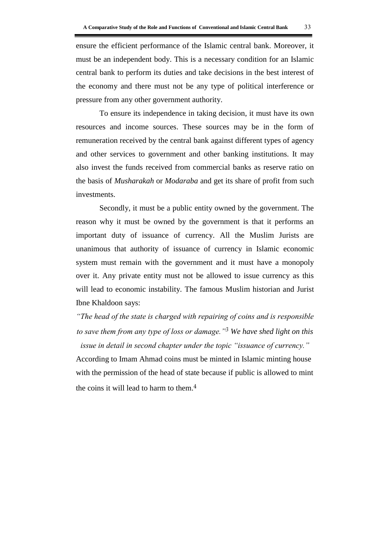ensure the efficient performance of the Islamic central bank. Moreover, it must be an independent body. This is a necessary condition for an Islamic central bank to perform its duties and take decisions in the best interest of the economy and there must not be any type of political interference or pressure from any other government authority.

To ensure its independence in taking decision, it must have its own resources and income sources. These sources may be in the form of remuneration received by the central bank against different types of agency and other services to government and other banking institutions. It may also invest the funds received from commercial banks as reserve ratio on the basis of *Musharakah* or *Modaraba* and get its share of profit from such investments.

Secondly, it must be a public entity owned by the government. The reason why it must be owned by the government is that it performs an important duty of issuance of currency. All the Muslim Jurists are unanimous that authority of issuance of currency in Islamic economic system must remain with the government and it must have a monopoly over it. Any private entity must not be allowed to issue currency as this will lead to economic instability. The famous Muslim historian and Jurist Ibne Khaldoon says:

*"The head of the state is charged with repairing of coins and is responsible to save them from any type of loss or damage."3 We have shed light on this issue in detail in second chapter under the topic "issuance of currency."*

According to Imam Ahmad coins must be minted in Islamic minting house with the permission of the head of state because if public is allowed to mint the coins it will lead to harm to them.<sup>4</sup>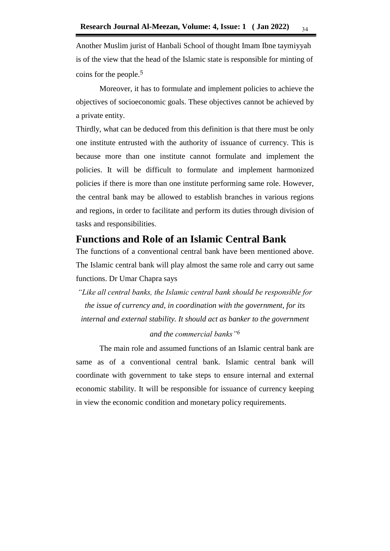Another Muslim jurist of Hanbali School of thought Imam Ibne taymiyyah is of the view that the head of the Islamic state is responsible for minting of coins for the people.<sup>5</sup>

Moreover, it has to formulate and implement policies to achieve the objectives of socioeconomic goals. These objectives cannot be achieved by a private entity.

Thirdly, what can be deduced from this definition is that there must be only one institute entrusted with the authority of issuance of currency. This is because more than one institute cannot formulate and implement the policies. It will be difficult to formulate and implement harmonized policies if there is more than one institute performing same role. However, the central bank may be allowed to establish branches in various regions and regions, in order to facilitate and perform its duties through division of tasks and responsibilities.

# **Functions and Role of an Islamic Central Bank**

The functions of a conventional central bank have been mentioned above. The Islamic central bank will play almost the same role and carry out same functions. Dr Umar Chapra says

*"Like all central banks, the Islamic central bank should be responsible for the issue of currency and, in coordination with the government, for its internal and external stability. It should act as banker to the government* 

*and the commercial banks"6*

The main role and assumed functions of an Islamic central bank are same as of a conventional central bank. Islamic central bank will coordinate with government to take steps to ensure internal and external economic stability. It will be responsible for issuance of currency keeping in view the economic condition and monetary policy requirements.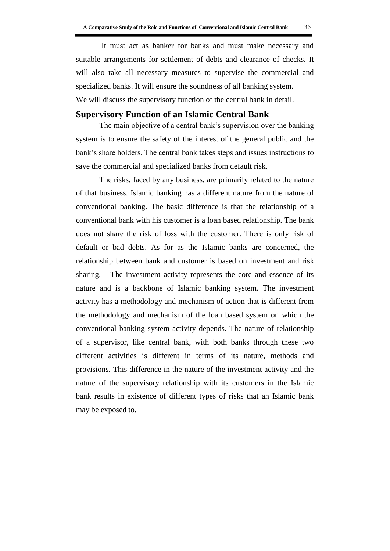It must act as banker for banks and must make necessary and suitable arrangements for settlement of debts and clearance of checks. It will also take all necessary measures to supervise the commercial and specialized banks. It will ensure the soundness of all banking system. We will discuss the supervisory function of the central bank in detail.

#### **Supervisory Function of an Islamic Central Bank**

The main objective of a central bank's supervision over the banking system is to ensure the safety of the interest of the general public and the bank's share holders. The central bank takes steps and issues instructions to save the commercial and specialized banks from default risk.

The risks, faced by any business, are primarily related to the nature of that business. Islamic banking has a different nature from the nature of conventional banking. The basic difference is that the relationship of a conventional bank with his customer is a loan based relationship. The bank does not share the risk of loss with the customer. There is only risk of default or bad debts. As for as the Islamic banks are concerned, the relationship between bank and customer is based on investment and risk sharing. The investment activity represents the core and essence of its nature and is a backbone of Islamic banking system. The investment activity has a methodology and mechanism of action that is different from the methodology and mechanism of the loan based system on which the conventional banking system activity depends. The nature of relationship of a supervisor, like central bank, with both banks through these two different activities is different in terms of its nature, methods and provisions. This difference in the nature of the investment activity and the nature of the supervisory relationship with its customers in the Islamic bank results in existence of different types of risks that an Islamic bank may be exposed to.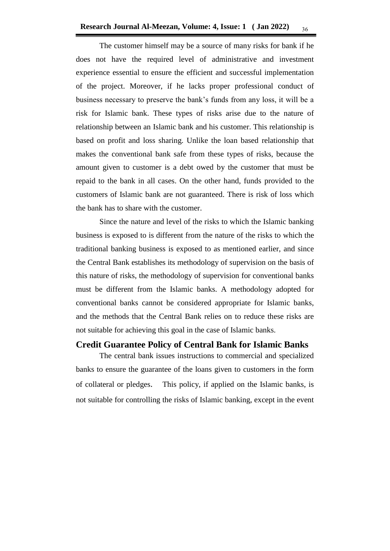The customer himself may be a source of many risks for bank if he does not have the required level of administrative and investment experience essential to ensure the efficient and successful implementation of the project. Moreover, if he lacks proper professional conduct of business necessary to preserve the bank's funds from any loss, it will be a risk for Islamic bank. These types of risks arise due to the nature of relationship between an Islamic bank and his customer. This relationship is based on profit and loss sharing. Unlike the loan based relationship that makes the conventional bank safe from these types of risks, because the amount given to customer is a debt owed by the customer that must be repaid to the bank in all cases. On the other hand, funds provided to the customers of Islamic bank are not guaranteed. There is risk of loss which the bank has to share with the customer.

Since the nature and level of the risks to which the Islamic banking business is exposed to is different from the nature of the risks to which the traditional banking business is exposed to as mentioned earlier, and since the Central Bank establishes its methodology of supervision on the basis of this nature of risks, the methodology of supervision for conventional banks must be different from the Islamic banks. A methodology adopted for conventional banks cannot be considered appropriate for Islamic banks, and the methods that the Central Bank relies on to reduce these risks are not suitable for achieving this goal in the case of Islamic banks.

### **Credit Guarantee Policy of Central Bank for Islamic Banks**

The central bank issues instructions to commercial and specialized banks to ensure the guarantee of the loans given to customers in the form of collateral or pledges. This policy, if applied on the Islamic banks, is not suitable for controlling the risks of Islamic banking, except in the event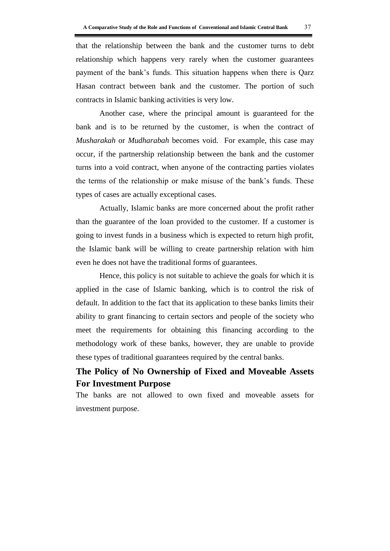that the relationship between the bank and the customer turns to debt

relationship which happens very rarely when the customer guarantees payment of the bank's funds. This situation happens when there is Qarz Hasan contract between bank and the customer. The portion of such contracts in Islamic banking activities is very low.

Another case, where the principal amount is guaranteed for the bank and is to be returned by the customer, is when the contract of *Musharakah* or *Mudharabah* becomes void. For example, this case may occur, if the partnership relationship between the bank and the customer turns into a void contract, when anyone of the contracting parties violates the terms of the relationship or make misuse of the bank's funds. These types of cases are actually exceptional cases.

Actually, Islamic banks are more concerned about the profit rather than the guarantee of the loan provided to the customer. If a customer is going to invest funds in a business which is expected to return high profit, the Islamic bank will be willing to create partnership relation with him even he does not have the traditional forms of guarantees.

Hence, this policy is not suitable to achieve the goals for which it is applied in the case of Islamic banking, which is to control the risk of default. In addition to the fact that its application to these banks limits their ability to grant financing to certain sectors and people of the society who meet the requirements for obtaining this financing according to the methodology work of these banks, however, they are unable to provide these types of traditional guarantees required by the central banks.

# **The Policy of No Ownership of Fixed and Moveable Assets For Investment Purpose**

The banks are not allowed to own fixed and moveable assets for investment purpose.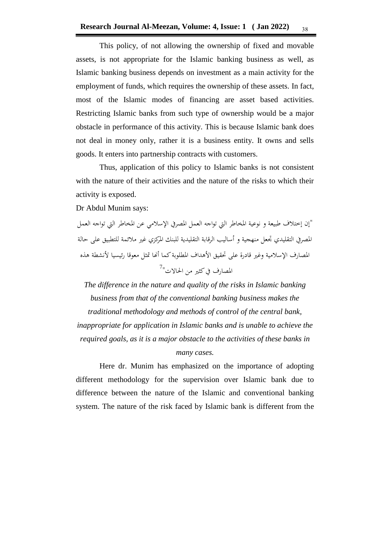This policy, of not allowing the ownership of fixed and movable assets, is not appropriate for the Islamic banking business as well, as Islamic banking business depends on investment as a main activity for the employment of funds, which requires the ownership of these assets. In fact, most of the Islamic modes of financing are asset based activities. Restricting Islamic banks from such type of ownership would be a major obstacle in performance of this activity. This is because Islamic bank does not deal in money only, rather it is a business entity. It owns and sells goods. It enters into partnership contracts with customers.

Thus, application of this policy to Islamic banks is not consistent with the nature of their activities and the nature of the risks to which their activity is exposed.

Dr Abdul Munim says:

"إن إختالف طبيعة و نوعية املخاطر اليت تواجه العمل املصريف اإلسالمي عن املخاطر اليت تواجه العمل المصري التقليدي تجعل منهجية و أساليب الرقابة التقليدية للبنك المركزي غير ملائمة للتطبيق على حالة المصارف الإسلامية وغير قادرة على تحقيق الأهداف المطلوبة كما أنها تمثل معوقا رئيسيا لأنشطة هذه المصارف في كثير من الحالات"<sup>/</sup>

*The difference in the nature and quality of the risks in Islamic banking business from that of the conventional banking business makes the traditional methodology and methods of control of the central bank, inappropriate for application in Islamic banks and is unable to achieve the required goals, as it is a major obstacle to the activities of these banks in many cases.* 

Here dr. Munim has emphasized on the importance of adopting different methodology for the supervision over Islamic bank due to difference between the nature of the Islamic and conventional banking system. The nature of the risk faced by Islamic bank is different from the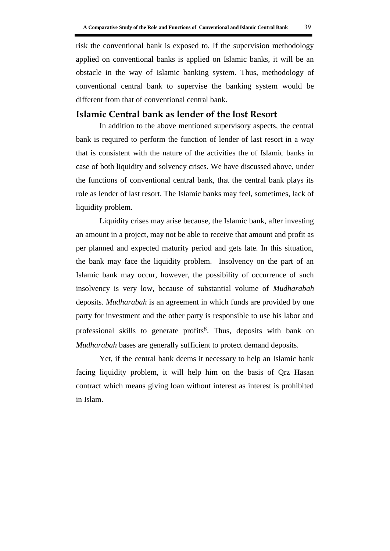risk the conventional bank is exposed to. If the supervision methodology applied on conventional banks is applied on Islamic banks, it will be an obstacle in the way of Islamic banking system. Thus, methodology of conventional central bank to supervise the banking system would be different from that of conventional central bank.

### **Islamic Central bank as lender of the lost Resort**

In addition to the above mentioned supervisory aspects, the central bank is required to perform the function of lender of last resort in a way that is consistent with the nature of the activities the of Islamic banks in case of both liquidity and solvency crises. We have discussed above, under the functions of conventional central bank, that the central bank plays its role as lender of last resort. The Islamic banks may feel, sometimes, lack of liquidity problem.

Liquidity crises may arise because, the Islamic bank, after investing an amount in a project, may not be able to receive that amount and profit as per planned and expected maturity period and gets late. In this situation, the bank may face the liquidity problem. Insolvency on the part of an Islamic bank may occur, however, the possibility of occurrence of such insolvency is very low, because of substantial volume of *Mudharabah* deposits. *Mudharabah* is an agreement in which funds are provided by one party for investment and the other party is responsible to use his labor and professional skills to generate profits<sup>8</sup>. Thus, deposits with bank on *Mudharabah* bases are generally sufficient to protect demand deposits.

Yet, if the central bank deems it necessary to help an Islamic bank facing liquidity problem, it will help him on the basis of Qrz Hasan contract which means giving loan without interest as interest is prohibited in Islam.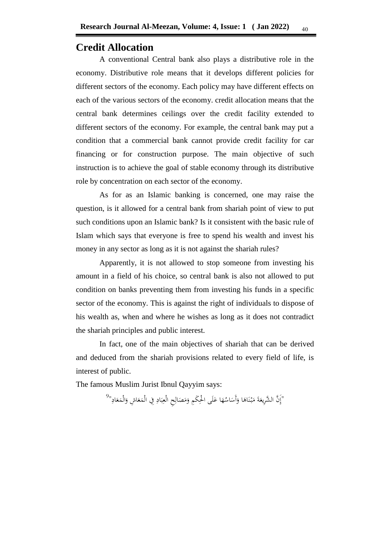## **Credit Allocation**

A conventional Central bank also plays a distributive role in the economy. Distributive role means that it develops different policies for different sectors of the economy. Each policy may have different effects on each of the various sectors of the economy. credit allocation means that the central bank determines ceilings over the credit facility extended to different sectors of the economy. For example, the central bank may put a condition that a commercial bank cannot provide credit facility for car financing or for construction purpose. The main objective of such instruction is to achieve the goal of stable economy through its distributive role by concentration on each sector of the economy.

As for as an Islamic banking is concerned, one may raise the question, is it allowed for a central bank from shariah point of view to put such conditions upon an Islamic bank? Is it consistent with the basic rule of Islam which says that everyone is free to spend his wealth and invest his money in any sector as long as it is not against the shariah rules?

Apparently, it is not allowed to stop someone from investing his amount in a field of his choice, so central bank is also not allowed to put condition on banks preventing them from investing his funds in a specific sector of the economy. This is against the right of individuals to dispose of his wealth as, when and where he wishes as long as it does not contradict the shariah principles and public interest.

In fact, one of the main objectives of shariah that can be derived and deduced from the shariah provisions related to every field of life, is interest of public.

The famous Muslim Jurist Ibnul Qayyim says:

"إِنَّ الشَّرِيعَةَ مَبْنَاهَا وَأَسَاسُهَا عَلَى الْحِكَمِ وَمَصَالِحِ الْعِبَادِ فِي الْمَعَاشِ وَالْمَعَادِ"<sup>9</sup> َ  $\overline{\phantom{a}}$ َ َ  $\overline{\phantom{a}}$ ∫<br>∹  $\ddot{\phantom{0}}$ ب ِ ِ  $\overline{\phantom{a}}$ َ َ  $\triangleleft$ ٔ<br>أ َ ۵<br>ا .<br>أ ن .<br>. ا<br>ا َ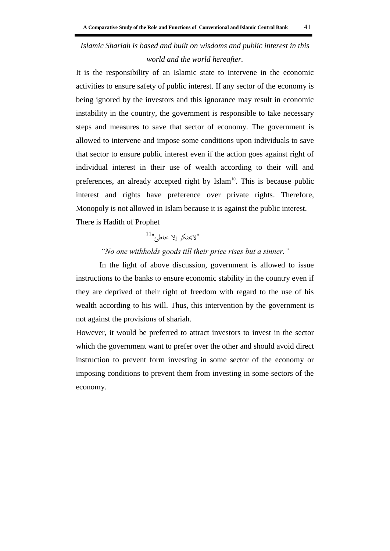# *Islamic Shariah is based and built on wisdoms and public interest in this world and the world hereafter.*

It is the responsibility of an Islamic state to intervene in the economic activities to ensure safety of public interest. If any sector of the economy is being ignored by the investors and this ignorance may result in economic instability in the country, the government is responsible to take necessary steps and measures to save that sector of economy. The government is allowed to intervene and impose some conditions upon individuals to save that sector to ensure public interest even if the action goes against right of individual interest in their use of wealth according to their will and preferences, an already accepted right by  $Islam<sup>10</sup>$ . This is because public interest and rights have preference over private rights. Therefore, Monopoly is not allowed in Islam because it is against the public interest. There is Hadith of Prophet

# $^{11}$ الايحتكر إلا خاطئ $^{\prime\prime}$

### *"No one withholds goods till their price rises but a sinner."*

In the light of above discussion, government is allowed to issue instructions to the banks to ensure economic stability in the country even if they are deprived of their right of freedom with regard to the use of his wealth according to his will. Thus, this intervention by the government is not against the provisions of shariah.

However, it would be preferred to attract investors to invest in the sector which the government want to prefer over the other and should avoid direct instruction to prevent form investing in some sector of the economy or imposing conditions to prevent them from investing in some sectors of the economy.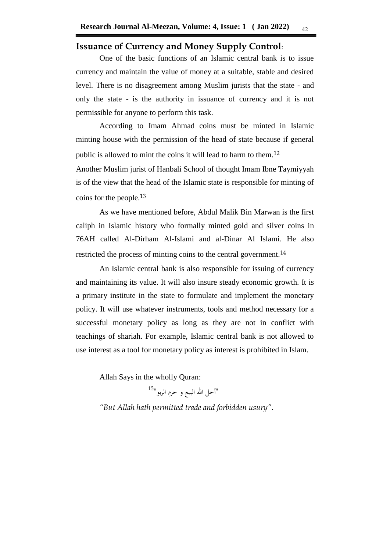### **Issuance of Currency and Money Supply Control**:

One of the basic functions of an Islamic central bank is to issue currency and maintain the value of money at a suitable, stable and desired level. There is no disagreement among Muslim jurists that the state - and only the state - is the authority in issuance of currency and it is not permissible for anyone to perform this task.

According to Imam Ahmad coins must be minted in Islamic minting house with the permission of the head of state because if general public is allowed to mint the coins it will lead to harm to them.<sup>12</sup>

Another Muslim jurist of Hanbali School of thought Imam Ibne Taymiyyah is of the view that the head of the Islamic state is responsible for minting of coins for the people.13

As we have mentioned before, Abdul Malik Bin Marwan is the first caliph in Islamic history who formally minted gold and silver coins in 76AH called Al-Dirham Al-Islami and al-Dinar Al Islami. He also restricted the process of minting coins to the central government.<sup>14</sup>

An Islamic central bank is also responsible for issuing of currency and maintaining its value. It will also insure steady economic growth. It is a primary institute in the state to formulate and implement the monetary policy. It will use whatever instruments, tools and method necessary for a successful monetary policy as long as they are not in conflict with teachings of shariah. For example, Islamic central bank is not allowed to use interest as a tool for monetary policy as interest is prohibited in Islam.

Allah Says in the wholly Quran:

"أحل الله البيع و حرم الربو<sup>"15</sup>

*"But Allah hath permitted trade and forbidden usury".*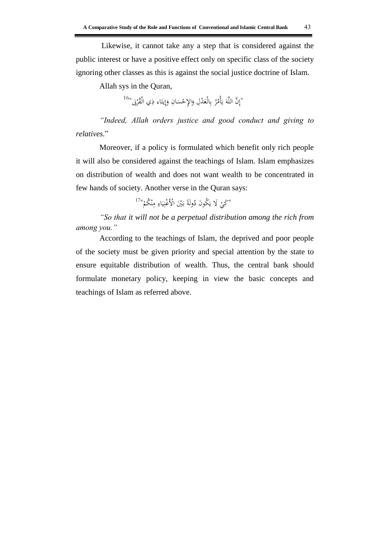Likewise, it cannot take any a step that is considered against the public interest or have a positive effect only on specific class of the society ignoring other classes as this is against the social justice doctrine of Islam.

Allah sys in the Quran,

"إِنَّ اللَّهَ يَأْمُرُ بِالْعَدْلِ وَالإِحْسَانِ وَإِيتَاءِ ذِي الْقُرْبَى"<sup>16</sup> َ ِ ً.<br>أ ِ إ َ  $\ddot{\phantom{1}}$ َ ِ ب .<br>أ ي َ

*"Indeed, Allah orders justice and good conduct and giving to relatives.*"

Moreover, if a policy is formulated which benefit only rich people it will also be considered against the teachings of Islam. Islam emphasizes on distribution of wealth and does not want wealth to be concentrated in few hands of society. Another verse in the Quran says:

> "كَيْ لَا يَكُونَ دُولَةً بَيْنَ الْأَغْنِيَاءِ مِنْكُمْ"<sup>17</sup> ْ ن **∕** ِ **ٔ** ي ِ ً َ ْ

*"So that it will not be a perpetual distribution among the rich from among you."*

According to the teachings of Islam, the deprived and poor people of the society must be given priority and special attention by the state to ensure equitable distribution of wealth. Thus, the central bank should formulate monetary policy, keeping in view the basic concepts and teachings of Islam as referred above.